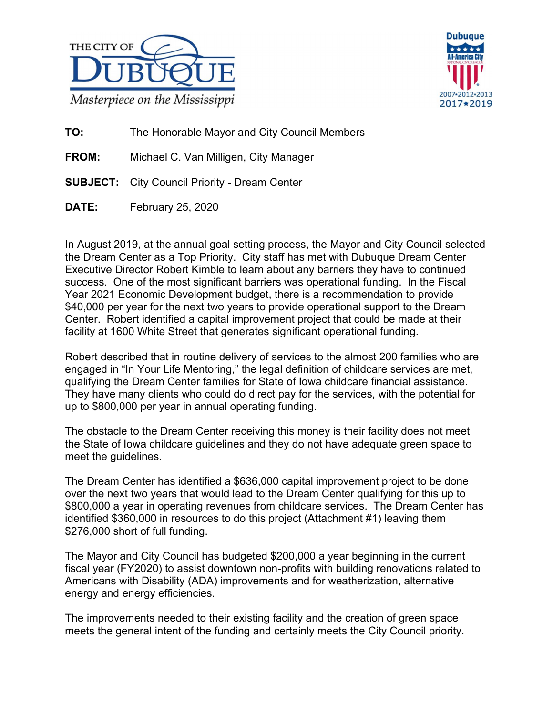



**TO:** The Honorable Mayor and City Council Members

**FROM:** Michael C. Van Milligen, City Manager

- **SUBJECT:** City Council Priority Dream Center
- **DATE:** February 25, 2020

In August 2019, at the annual goal setting process, the Mayor and City Council selected the Dream Center as a Top Priority. City staff has met with Dubuque Dream Center Executive Director Robert Kimble to learn about any barriers they have to continued success. One of the most significant barriers was operational funding. In the Fiscal Year 2021 Economic Development budget, there is a recommendation to provide \$40,000 per year for the next two years to provide operational support to the Dream Center. Robert identified a capital improvement project that could be made at their facility at 1600 White Street that generates significant operational funding.

Robert described that in routine delivery of services to the almost 200 families who are engaged in "In Your Life Mentoring," the legal definition of childcare services are met, qualifying the Dream Center families for State of Iowa childcare financial assistance. They have many clients who could do direct pay for the services, with the potential for up to \$800,000 per year in annual operating funding.

The obstacle to the Dream Center receiving this money is their facility does not meet the State of Iowa childcare guidelines and they do not have adequate green space to meet the guidelines.

The Dream Center has identified a \$636,000 capital improvement project to be done over the next two years that would lead to the Dream Center qualifying for this up to \$800,000 a year in operating revenues from childcare services. The Dream Center has identified \$360,000 in resources to do this project (Attachment #1) leaving them \$276,000 short of full funding.

The Mayor and City Council has budgeted \$200,000 a year beginning in the current fiscal year (FY2020) to assist downtown non-profits with building renovations related to Americans with Disability (ADA) improvements and for weatherization, alternative energy and energy efficiencies.

The improvements needed to their existing facility and the creation of green space meets the general intent of the funding and certainly meets the City Council priority.